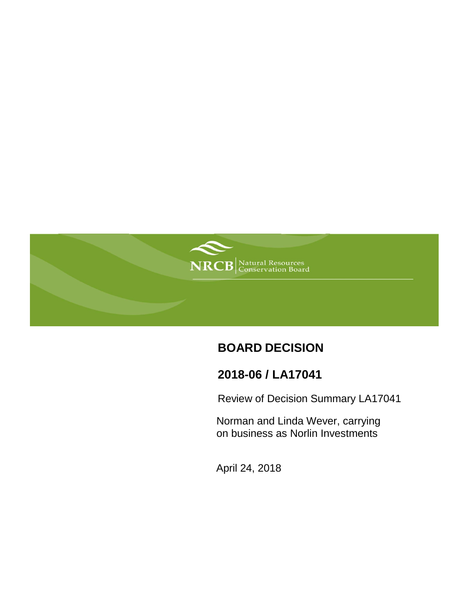

# **BOARD DECISION**

# **2018-06 / LA17041**

Review of Decision Summary LA17041

Norman and Linda Wever, carrying on business as Norlin Investments

April 24, 2018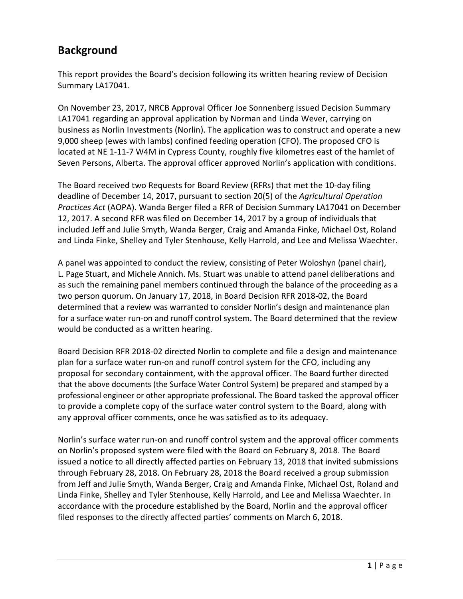## **Background**

This report provides the Board's decision following its written hearing review of Decision Summary LA17041.

On November 23, 2017, NRCB Approval Officer Joe Sonnenberg issued Decision Summary LA17041 regarding an approval application by Norman and Linda Wever, carrying on business as Norlin Investments (Norlin). The application was to construct and operate a new 9,000 sheep (ewes with lambs) confined feeding operation (CFO). The proposed CFO is located at NE 1-11-7 W4M in Cypress County, roughly five kilometres east of the hamlet of Seven Persons, Alberta. The approval officer approved Norlin's application with conditions.

The Board received two Requests for Board Review (RFRs) that met the 10-day filing deadline of December 14, 2017, pursuant to section 20(5) of the *Agricultural Operation Practices Act* (AOPA). Wanda Berger filed a RFR of Decision Summary LA17041 on December 12, 2017. A second RFR was filed on December 14, 2017 by a group of individuals that included Jeff and Julie Smyth, Wanda Berger, Craig and Amanda Finke, Michael Ost, Roland and Linda Finke, Shelley and Tyler Stenhouse, Kelly Harrold, and Lee and Melissa Waechter.

A panel was appointed to conduct the review, consisting of Peter Woloshyn (panel chair), L. Page Stuart, and Michele Annich. Ms. Stuart was unable to attend panel deliberations and as such the remaining panel members continued through the balance of the proceeding as a two person quorum. On January 17, 2018, in Board Decision RFR 2018-02, the Board determined that a review was warranted to consider Norlin's design and maintenance plan for a surface water run-on and runoff control system. The Board determined that the review would be conducted as a written hearing.

Board Decision RFR 2018-02 directed Norlin to complete and file a design and maintenance plan for a surface water run-on and runoff control system for the CFO, including any proposal for secondary containment, with the approval officer. The Board further directed that the above documents (the Surface Water Control System) be prepared and stamped by a professional engineer or other appropriate professional. The Board tasked the approval officer to provide a complete copy of the surface water control system to the Board, along with any approval officer comments, once he was satisfied as to its adequacy.

Norlin's surface water run-on and runoff control system and the approval officer comments on Norlin's proposed system were filed with the Board on February 8, 2018. The Board issued a notice to all directly affected parties on February 13, 2018 that invited submissions through February 28, 2018. On February 28, 2018 the Board received a group submission from Jeff and Julie Smyth, Wanda Berger, Craig and Amanda Finke, Michael Ost, Roland and Linda Finke, Shelley and Tyler Stenhouse, Kelly Harrold, and Lee and Melissa Waechter. In accordance with the procedure established by the Board, Norlin and the approval officer filed responses to the directly affected parties' comments on March 6, 2018.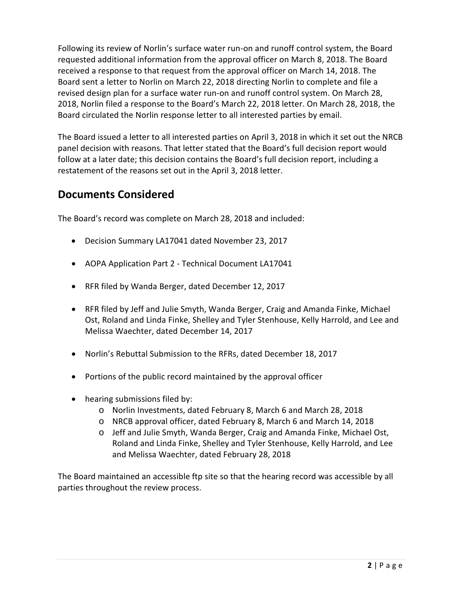Following its review of Norlin's surface water run-on and runoff control system, the Board requested additional information from the approval officer on March 8, 2018. The Board received a response to that request from the approval officer on March 14, 2018. The Board sent a letter to Norlin on March 22, 2018 directing Norlin to complete and file a revised design plan for a surface water run-on and runoff control system. On March 28, 2018, Norlin filed a response to the Board's March 22, 2018 letter. On March 28, 2018, the Board circulated the Norlin response letter to all interested parties by email.

The Board issued a letter to all interested parties on April 3, 2018 in which it set out the NRCB panel decision with reasons. That letter stated that the Board's full decision report would follow at a later date; this decision contains the Board's full decision report, including a restatement of the reasons set out in the April 3, 2018 letter.

### **Documents Considered**

The Board's record was complete on March 28, 2018 and included:

- Decision Summary LA17041 dated November 23, 2017
- AOPA Application Part 2 Technical Document LA17041
- RFR filed by Wanda Berger, dated December 12, 2017
- RFR filed by Jeff and Julie Smyth, Wanda Berger, Craig and Amanda Finke, Michael Ost, Roland and Linda Finke, Shelley and Tyler Stenhouse, Kelly Harrold, and Lee and Melissa Waechter, dated December 14, 2017
- Norlin's Rebuttal Submission to the RFRs, dated December 18, 2017
- Portions of the public record maintained by the approval officer
- hearing submissions filed by:
	- o Norlin Investments, dated February 8, March 6 and March 28, 2018
	- o NRCB approval officer, dated February 8, March 6 and March 14, 2018
	- o Jeff and Julie Smyth, Wanda Berger, Craig and Amanda Finke, Michael Ost, Roland and Linda Finke, Shelley and Tyler Stenhouse, Kelly Harrold, and Lee and Melissa Waechter, dated February 28, 2018

The Board maintained an accessible ftp site so that the hearing record was accessible by all parties throughout the review process.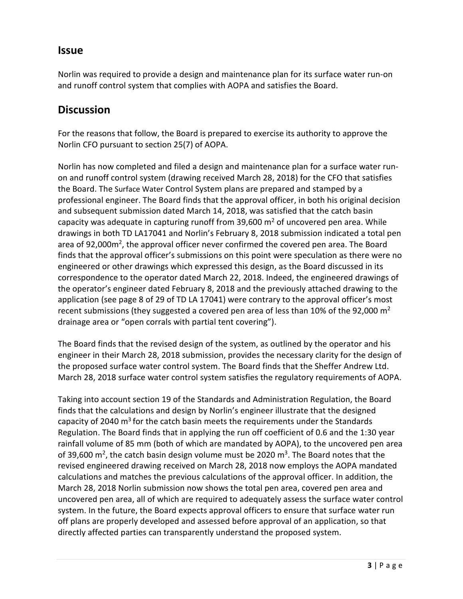### **Issue**

Norlin was required to provide a design and maintenance plan for its surface water run-on and runoff control system that complies with AOPA and satisfies the Board.

## **Discussion**

For the reasons that follow, the Board is prepared to exercise its authority to approve the Norlin CFO pursuant to section 25(7) of AOPA.

Norlin has now completed and filed a design and maintenance plan for a surface water runon and runoff control system (drawing received March 28, 2018) for the CFO that satisfies the Board. The Surface Water Control System plans are prepared and stamped by a professional engineer. The Board finds that the approval officer, in both his original decision and subsequent submission dated March 14, 2018, was satisfied that the catch basin capacity was adequate in capturing runoff from  $39,600$  m<sup>2</sup> of uncovered pen area. While drawings in both TD LA17041 and Norlin's February 8, 2018 submission indicated a total pen area of 92,000m2, the approval officer never confirmed the covered pen area. The Board finds that the approval officer's submissions on this point were speculation as there were no engineered or other drawings which expressed this design, as the Board discussed in its correspondence to the operator dated March 22, 2018. Indeed, the engineered drawings of the operator's engineer dated February 8, 2018 and the previously attached drawing to the application (see page 8 of 29 of TD LA 17041) were contrary to the approval officer's most recent submissions (they suggested a covered pen area of less than 10% of the 92,000  $\text{m}^2$ drainage area or "open corrals with partial tent covering").

The Board finds that the revised design of the system, as outlined by the operator and his engineer in their March 28, 2018 submission, provides the necessary clarity for the design of the proposed surface water control system. The Board finds that the Sheffer Andrew Ltd. March 28, 2018 surface water control system satisfies the regulatory requirements of AOPA.

Taking into account section 19 of the Standards and Administration Regulation, the Board finds that the calculations and design by Norlin's engineer illustrate that the designed capacity of 2040  $\text{m}^3$  for the catch basin meets the requirements under the Standards Regulation. The Board finds that in applying the run off coefficient of 0.6 and the 1:30 year rainfall volume of 85 mm (both of which are mandated by AOPA), to the uncovered pen area of 39,600 m<sup>2</sup>, the catch basin design volume must be 2020 m<sup>3</sup>. The Board notes that the revised engineered drawing received on March 28, 2018 now employs the AOPA mandated calculations and matches the previous calculations of the approval officer. In addition, the March 28, 2018 Norlin submission now shows the total pen area, covered pen area and uncovered pen area, all of which are required to adequately assess the surface water control system. In the future, the Board expects approval officers to ensure that surface water run off plans are properly developed and assessed before approval of an application, so that directly affected parties can transparently understand the proposed system.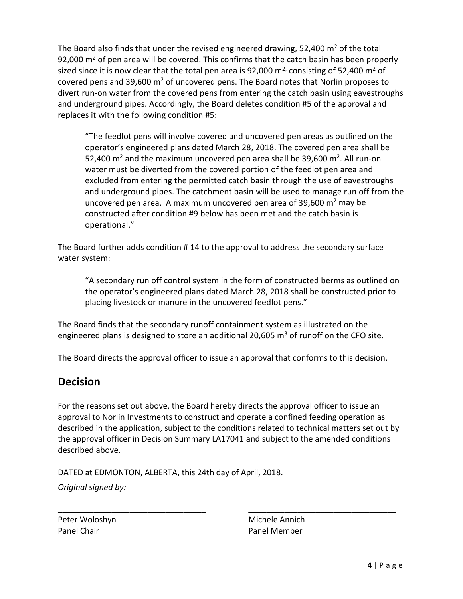The Board also finds that under the revised engineered drawing, 52,400  $\text{m}^2$  of the total 92,000  $\text{m}^2$  of pen area will be covered. This confirms that the catch basin has been properly sized since it is now clear that the total pen area is 92,000  $m<sup>2</sup>$  consisting of 52,400  $m<sup>2</sup>$  of covered pens and 39,600  $m<sup>2</sup>$  of uncovered pens. The Board notes that Norlin proposes to divert run-on water from the covered pens from entering the catch basin using eavestroughs and underground pipes. Accordingly, the Board deletes condition #5 of the approval and replaces it with the following condition #5:

"The feedlot pens will involve covered and uncovered pen areas as outlined on the operator's engineered plans dated March 28, 2018. The covered pen area shall be 52,400  $\text{m}^2$  and the maximum uncovered pen area shall be 39,600  $\text{m}^2$ . All run-on water must be diverted from the covered portion of the feedlot pen area and excluded from entering the permitted catch basin through the use of eavestroughs and underground pipes. The catchment basin will be used to manage run off from the uncovered pen area. A maximum uncovered pen area of  $39,600$  m<sup>2</sup> may be constructed after condition #9 below has been met and the catch basin is operational."

The Board further adds condition # 14 to the approval to address the secondary surface water system:

"A secondary run off control system in the form of constructed berms as outlined on the operator's engineered plans dated March 28, 2018 shall be constructed prior to placing livestock or manure in the uncovered feedlot pens."

The Board finds that the secondary runoff containment system as illustrated on the engineered plans is designed to store an additional 20,605  $\text{m}^3$  of runoff on the CFO site.

The Board directs the approval officer to issue an approval that conforms to this decision.

### **Decision**

For the reasons set out above, the Board hereby directs the approval officer to issue an approval to Norlin Investments to construct and operate a confined feeding operation as described in the application, subject to the conditions related to technical matters set out by the approval officer in Decision Summary LA17041 and subject to the amended conditions described above.

\_\_\_\_\_\_\_\_\_\_\_\_\_\_\_\_\_\_\_\_\_\_\_\_\_\_\_\_\_\_\_\_\_ \_\_\_\_\_\_\_\_\_\_\_\_\_\_\_\_\_\_\_\_\_\_\_\_\_\_\_\_\_\_\_\_\_

DATED at EDMONTON, ALBERTA, this 24th day of April, 2018.

*Original signed by:*

Panel Chair **Panel Member** 

Peter Woloshyn Michele Annich